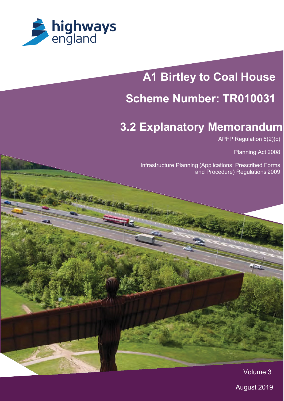

# **A1 Birtley to Coal House**

# **Scheme Number: TR010031**

# **3.2 Explanatory Memorandum**

APFP Regulation 5(2)(c)

Planning Act 2008

Infrastructure Planning (Applications: Prescribed Forms and Procedure) Regulations 2009

Volume 3

Í

August 2019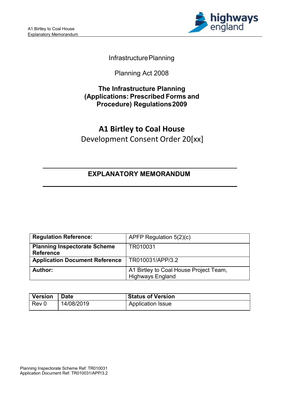

# InfrastructurePlanning

Planning Act 2008

# **The Infrastructure Planning (Applications: Prescribed Forms and Procedure) Regulations2009**

# **A1 Birtley to Coal House** Development Consent Order 20[xx]

# **EXPLANATORY MEMORANDUM**

| <b>Regulation Reference:</b>                            | APFP Regulation $5(2)(c)$                                         |
|---------------------------------------------------------|-------------------------------------------------------------------|
| <b>Planning Inspectorate Scheme</b><br><b>Reference</b> | TR010031                                                          |
| <b>Application Document Reference</b>                   | TR010031/APP/3.2                                                  |
| Author:                                                 | A1 Birtley to Coal House Project Team,<br><b>Highways England</b> |

| <b>Version</b> | <b>Date</b> | <b>Status of Version</b> |
|----------------|-------------|--------------------------|
| Rev 0          | 14/08/2019  | Application Issue        |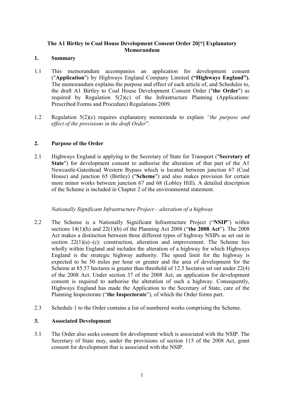# **The A1 Birtley to Coal House Development Consent Order 20[\*] Explanatory Memorandum**

# **1. Summary**

- 1.1 This memorandum accompanies an application for development consent ("**Application**") by Highways England Company Limited **("Highways England").** The memorandum explains the purpose and effect of each article of, and Schedules to, the draft A1 Birtley to Coal House Development Consent Order ("**the Order**") as required by Regulation 5(2)(c) of the Infrastructure Planning (Applications: Prescribed Forms and Procedure) Regulations 2009.
- 1.2 Regulation 5(2)(c) requires explanatory memoranda to explain *"the purpose and effect of the provisions in the draft Order*".

# **2. Purpose of the Order**

2.1 Highways England is applying to the Secretary of State for Transport ("**Secretary of State**") for development consent to authorise the alteration of that part of the A1 Newcastle-Gateshead Western Bypass which is located between junction 67 (Coal House) and junction 65 (Birtley) ("**Scheme**") and also makes provision for certain more minor works between junction 67 and 68 (Lobley Hill). A detailed description of the Scheme is included in Chapter 2 of the environmental statement.

# *Nationally Significant Infrastructure Project – alteration of a highway*

- 2.2 The Scheme is a Nationally Significant Infrastructure Project ("**NSIP**") within sections 14(1)(h) and 22(1)(b) of the Planning Act 2008 ("**the 2008 Act**"). The 2008 Act makes a distinction between three different types of highway NSIPs as set out in section  $22(1)(a)$ –(c): construction, alteration and improvement. The Scheme lies wholly within England and includes the alteration of a highway for which Highways England is the strategic highway authority. The speed limit for the highway is expected to be 50 miles per hour or greater and the area of development for the Scheme at 85.57 hectares is greater than threshold of 12.5 hectares set out under 22(4) of the 2008 Act. Under section 37 of the 2008 Act, an application for development consent is required to authorise the alteration of such a highway. Consequently, Highways England has made the Application to the Secretary of State, care of the Planning Inspectorate ("**the Inspectorate**"), of which the Order forms part.
- 2.3 Schedule 1 to the Order contains a list of numbered works comprising the Scheme.

# **3. Associated Development**

3.1 The Order also seeks consent for development which is associated with the NSIP. The Secretary of State may, under the provisions of section 115 of the 2008 Act, grant consent for development that is associated with the NSIP.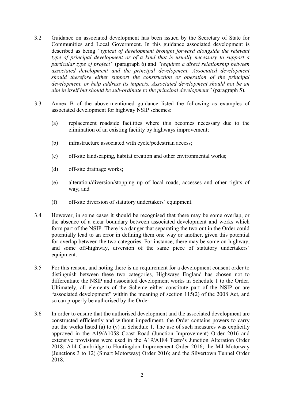- 3.2 Guidance on associated development has been issued by the Secretary of State for Communities and Local Government. In this guidance associated development is described as being *"typical of development brought forward alongside the relevant type of principal development or of a kind that is usually necessary to support a particular type of project"* (paragraph 6) and *"requires a direct relationship between*  associated development and the principal development. Associated development *should therefore either support the construction or operation of the principal development, or help address its impacts. Associated development should not be an aim in itself but should be sub-ordinate to the principal development"* (paragraph 5).
- 3.3 Annex B of the above-mentioned guidance listed the following as examples of associated development for highway NSIP schemes:
	- (a) replacement roadside facilities where this becomes necessary due to the elimination of an existing facility by highways improvement;
	- (b) infrastructure associated with cycle/pedestrian access;
	- (c) off-site landscaping, habitat creation and other environmental works;
	- (d) off-site drainage works;
	- (e) alteration/diversion/stopping up of local roads, accesses and other rights of way; and
	- (f) off-site diversion of statutory undertakers' equipment.
- 3.4 However, in some cases it should be recognised that there may be some overlap, or the absence of a clear boundary between associated development and works which form part of the NSIP. There is a danger that separating the two out in the Order could potentially lead to an error in defining them one way or another, given this potential for overlap between the two categories. For instance, there may be some on-highway, and some off-highway, diversion of the same piece of statutory undertakers' equipment.
- 3.5 For this reason, and noting there is no requirement for a development consent order to distinguish between these two categories, Highways England has chosen not to differentiate the NSIP and associated development works in Schedule 1 to the Order. Ultimately, all elements of the Scheme either constitute part of the NSIP or are "associated development" within the meaning of section 115(2) of the 2008 Act, and so can properly be authorised by the Order.
- 3.6 In order to ensure that the authorised development and the associated development are constructed efficiently and without impediment, the Order contains powers to carry out the works listed (a) to (v) in Schedule 1. The use of such measures was explicitly approved in the A19/A1058 Coast Road (Junction Improvement) Order 2016 and extensive provisions were used in the A19/A184 Testo's Junction Alteration Order 2018; A14 Cambridge to Huntingdon Improvement Order 2016; the M4 Motorway (Junctions 3 to 12) (Smart Motorway) Order 2016; and the Silvertown Tunnel Order 2018.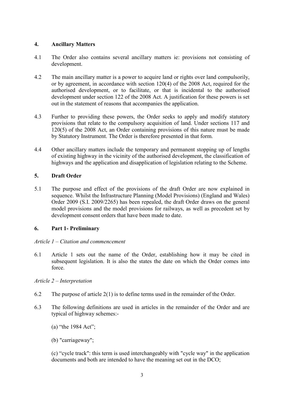# **4. Ancillary Matters**

- 4.1 The Order also contains several ancillary matters ie: provisions not consisting of development.
- 4.2 The main ancillary matter is a power to acquire land or rights over land compulsorily, or by agreement, in accordance with section 120(4) of the 2008 Act, required for the authorised development, or to facilitate, or that is incidental to the authorised development under section 122 of the 2008 Act. A justification for these powers is set out in the statement of reasons that accompanies the application.
- 4.3 Further to providing these powers, the Order seeks to apply and modify statutory provisions that relate to the compulsory acquisition of land. Under sections 117 and 120(5) of the 2008 Act, an Order containing provisions of this nature must be made by Statutory Instrument. The Order is therefore presented in that form.
- 4.4 Other ancillary matters include the temporary and permanent stopping up of lengths of existing highway in the vicinity of the authorised development, the classification of highways and the application and disapplication of legislation relating to the Scheme.

# **5. Draft Order**

5.1 The purpose and effect of the provisions of the draft Order are now explained in sequence. Whilst the Infrastructure Planning (Model Provisions) (England and Wales) Order 2009 (S.I. 2009/2265) has been repealed, the draft Order draws on the general model provisions and the model provisions for railways, as well as precedent set by development consent orders that have been made to date.

# **6. Part 1- Preliminary**

#### *Article 1 – Citation and commencement*

6.1 Article 1 sets out the name of the Order, establishing how it may be cited in subsequent legislation. It is also the states the date on which the Order comes into force.

# *Article 2 – Interpretation*

- 6.2 The purpose of article 2(1) is to define terms used in the remainder of the Order.
- 6.3 The following definitions are used in articles in the remainder of the Order and are typical of highway schemes:-
	- (a) "the 1984 Act";
	- (b) "carriageway";

(c) "cycle track": this term is used interchangeably with "cycle way" in the application documents and both are intended to have the meaning set out in the DCO;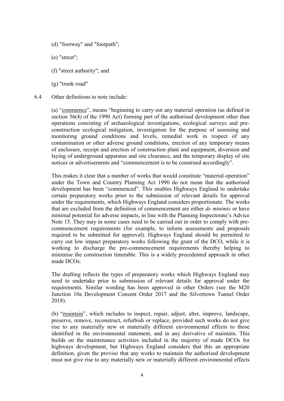- (d) "footway" and "footpath";
- (e) "street";
- (f) "street authority"; and
- (g) "trunk road"
- 6.4 Other definitions to note include:

(a) "commence", means "beginning to carry out any material operation (as defined in section 56(4) of the 1990 Act) forming part of the authorised development other than operations consisting of archaeological investigations, ecological surveys and preconstruction ecological mitigation, investigation for the purpose of assessing and monitoring ground conditions and levels, remedial work in respect of any contamination or other adverse ground conditions, erection of any temporary means of enclosure, receipt and erection of construction plant and equipment, diversion and laying of underground apparatus and site clearance, and the temporary display of site notices or advertisements and "commencement is to be construed accordingly".

This makes it clear that a number of works that would constitute "material operation" under the Town and Country Planning Act 1990 do not mean that the authorised development has been "commenced". This enables Highways England to undertake certain preparatory works prior to the submission of relevant details for approval under the requirements, which Highways England considers proportionate. The works that are excluded from the definition of commencement are either *de minimis* or have minimal potential for adverse impacts, in line with the Planning Inspectorate's Advice Note 15. They may in some cases need to be carried out in order to comply with precommencement requirements (for example, to inform assessments and proposals required to be submitted for approval). Highways England should be permitted to carry out low impact preparatory works following the grant of the DCO, while it is working to discharge the pre-commencement requirements thereby helping to minimise the construction timetable. This is a widely precedented approach in other made DCOs.

The drafting reflects the types of preparatory works which Highways England may need to undertake prior to submission of relevant details for approval under the requirements. Similar wording has been approved in other Orders (see the M20 Junction 10a Development Consent Order 2017 and the Silvertown Tunnel Order 2018).

(b) "maintain", which includes to inspect, repair, adjust, alter, improve, landscape, preserve, remove, reconstruct, refurbish or replace, provided such works do not give rise to any materially new or materially different environmental effects to those identified in the environmental statement, and in any derivative of maintain. This builds on the maintenance activities included in the majority of made DCOs for highways development, but Highways England considers that this an appropriate definition, given the proviso that any works to maintain the authorised development must not give rise to any materially new or materially different environmental effects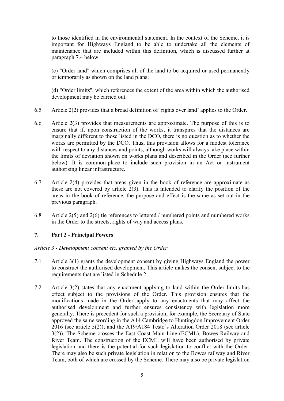to those identified in the environmental statement. In the context of the Scheme, it is important for Highways England to be able to undertake all the elements of maintenance that are included within this definition, which is discussed further at paragraph 7.4 below.

(c) "Order land" which comprises all of the land to be acquired or used permanently or temporarily as shown on the land plans;

(d) "Order limits", which references the extent of the area within which the authorised development may be carried out.

- 6.5 Article 2(2) provides that a broad definition of 'rights over land' applies to the Order.
- 6.6 Article 2(3) provides that measurements are approximate. The purpose of this is to ensure that if, upon construction of the works, it transpires that the distances are marginally different to those listed in the DCO, there is no question as to whether the works are permitted by the DCO. Thus, this provision allows for a modest tolerance with respect to any distances and points, although works will always take place within the limits of deviation shown on works plans and described in the Order (see further below). It is common-place to include such provision in an Act or instrument authorising linear infrastructure.
- 6.7 Article 2(4) provides that areas given in the book of reference are approximate as these are not covered by article 2(3). This is intended to clarify the position of the areas in the book of reference, the purpose and effect is the same as set out in the previous paragraph.
- 6.8 Article 2(5) and 2(6) tie references to lettered / numbered points and numbered works in the Order to the streets, rights of way and access plans.

# **7. Part 2 - Principal Powers**

# *Article 3 - Development consent etc. granted by the Order*

- 7.1 Article 3(1) grants the development consent by giving Highways England the power to construct the authorised development. This article makes the consent subject to the requirements that are listed in Schedule 2.
- 7.2 Article 3(2) states that any enactment applying to land within the Order limits has effect subject to the provisions of the Order. This provision ensures that the modifications made in the Order apply to any enactments that may affect the authorised development and further ensures consistency with legislation more generally. There is precedent for such a provision, for example, the Secretary of State approved the same wording in the A14 Cambridge to Huntingdon Improvement Order 2016 (see article 5(2)); and the A19/A184 Testo's Alteration Order 2018 (see article 3(2)). The Scheme crosses the East Coast Main Line (ECML), Bowes Railway and River Team. The construction of the ECML will have been authorised by private legislation and there is the potential for such legislation to conflict with the Order. There may also be such private legislation in relation to the Bowes railway and River Team, both of which are crossed by the Scheme. There may also be private legislation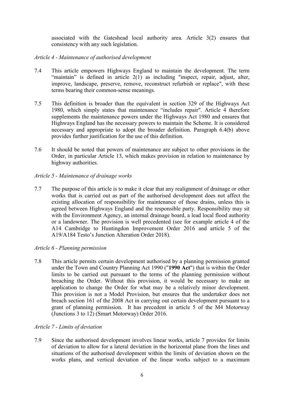associated with the Gateshead local authority area. Article 3(2) ensures that consistency with any such legislation.

# *Article 4 - Maintenance of authorised development*

- 7.4 This article empowers Highways England to maintain the development. The term "maintain" is defined in article 2(1) as including "inspect, repair, adjust, alter, improve, landscape, preserve, remove, reconstruct refurbish or replace", with these terms bearing their common-sense meanings.
- 7.5 This definition is broader than the equivalent in section 329 of the Highways Act 1980, which simply states that maintenance "includes repair". Article 4 therefore supplements the maintenance powers under the Highways Act 1980 and ensures that Highways England has the necessary powers to maintain the Scheme. It is considered necessary and appropriate to adopt the broader definition. Paragraph 6.4(b) above provides further justification for the use of this definition.
- 7.6 It should be noted that powers of maintenance are subject to other provisions in the Order, in particular Article 13, which makes provision in relation to maintenance by highway authorities.

# *Article 5 - Maintenance of drainage works*

7.7 The purpose of this article is to make it clear that any realignment of drainage or other works that is carried out as part of the authorised development does not affect the existing allocation of responsibility for maintenance of those drains, unless this is agreed between Highways England and the responsible party. Responsibility may sit with the Environment Agency, an internal drainage board, a lead local flood authority or a landowner. The provision is well precedented (see for example article 4 of the A14 Cambridge to Huntingdon Improvement Order 2016 and article 5 of the A19/A184 Testo's Junction Alteration Order 2018).

# *Article 6 - Planning permission*

7.8 This article permits certain development authorised by a planning permission granted under the Town and Country Planning Act 1990 ("**1990 Act**") that is within the Order limits to be carried out pursuant to the terms of the planning permission without breaching the Order. Without this provision, it would be necessary to make an application to change the Order for what may be a relatively minor development. This provision is not a Model Provision, but ensures that the undertaker does not breach section 161 of the 2008 Act in carrying out certain development pursuant to a grant of planning permission. It has precedent in article 5 of the M4 Motorway (Junctions 3 to 12) (Smart Motorway) Order 2016.

#### *Article 7 - Limits of deviation*

7.9 Since the authorised development involves linear works, article 7 provides for limits of deviation to allow for a lateral deviation in the horizontal plane from the lines and situations of the authorised development within the limits of deviation shown on the works plans, and vertical deviation of the linear works subject to a maximum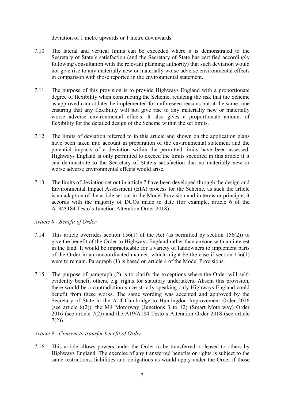deviation of 1 metre upwards or 1 metre downwards.

- 7.10 The lateral and vertical limits can be exceeded where it is demonstrated to the Secretary of State's satisfaction (and the Secretary of State has certified accordingly following consultation with the relevant planning authority) that such deviation would not give rise to any materially new or materially worse adverse environmental effects in comparison with those reported in the environmental statement.
- 7.11 The purpose of this provision is to provide Highways England with a proportionate degree of flexibility when constructing the Scheme, reducing the risk that the Scheme as approved cannot later be implemented for unforeseen reasons but at the same time ensuring that any flexibility will not give rise to any materially new or materially worse adverse environmental effects. It also gives a proportionate amount of flexibility for the detailed design of the Scheme within the set limits.
- 7.12 The limits of deviation referred to in this article and shown on the application plans have been taken into account in preparation of the environmental statement and the potential impacts of a deviation within the permitted limits have been assessed. Highways England is only permitted to exceed the limits specified in this article if it can demonstrate to the Secretary of State's satisfaction that no materially new or worse adverse environmental effects would arise.
- 7.13 The limits of deviation set out in article 7 have been developed through the design and Environmental Impact Assessment (EIA) process for the Scheme, as such the article is an adaption of the article set out in the Model Provision and in terms or principle, it accords with the majority of DCOs made to date (for example, article 6 of the A19/A184 Testo's Junction Alteration Order 2018).

# *Article 8 - Benefit of Order*

- 7.14 This article overrides section 156(1) of the Act (as permitted by section 156(2)) to give the benefit of the Order to Highways England rather than anyone with an interest in the land. It would be impracticable for a variety of landowners to implement parts of the Order in an uncoordinated manner, which might be the case if section 156(1) were to remain. Paragraph (1) is based on article 4 of the Model Provisions.
- 7.15 The purpose of paragraph (2) is to clarify the exceptions where the Order will selfevidently benefit others, e.g. rights for statutory undertakers. Absent this provision, there would be a contradiction since strictly speaking only Highways England could benefit from these works. The same wording was accepted and approved by the Secretary of State in the A14 Cambridge to Huntingdon Improvement Order 2016 (see article 8(2)), the M4 Motorway (Junctions 3 to 12) (Smart Motorway) Order 2016 (see article 7(2)) and the A19/A184 Testo's Alteration Order 2018 (see article  $7(2)$ ).

# *Article 9 - Consent to transfer benefit of Order*

7.16 This article allows powers under the Order to be transferred or leased to others by Highways England. The exercise of any transferred benefits or rights is subject to the same restrictions, liabilities and obligations as would apply under the Order if those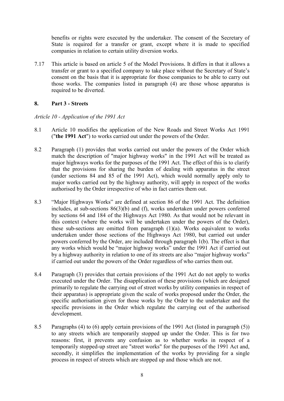benefits or rights were executed by the undertaker. The consent of the Secretary of State is required for a transfer or grant, except where it is made to specified companies in relation to certain utility diversion works.

7.17 This article is based on article 5 of the Model Provisions. It differs in that it allows a transfer or grant to a specified company to take place without the Secretary of State's consent on the basis that it is appropriate for those companies to be able to carry out those works. The companies listed in paragraph (4) are those whose apparatus is required to be diverted.

# **8. Part 3 - Streets**

# *Article 10 - Application of the 1991 Act*

- 8.1 Article 10 modifies the application of the New Roads and Street Works Act 1991 ("**the 1991 Act**") to works carried out under the powers of the Order.
- 8.2 Paragraph (1) provides that works carried out under the powers of the Order which match the description of "major highway works" in the 1991 Act will be treated as major highways works for the purposes of the 1991 Act. The effect of this is to clarify that the provisions for sharing the burden of dealing with apparatus in the street (under sections 84 and 85 of the 1991 Act), which would normally apply only to major works carried out by the highway authority, will apply in respect of the works authorised by the Order irrespective of who in fact carries them out.
- 8.3 "Major Highways Works" are defined at section 86 of the 1991 Act. The definition includes, at sub-sections 86(3)(b) and (f), works undertaken under powers conferred by sections 64 and 184 of the Highways Act 1980. As that would not be relevant in this context (where the works will be undertaken under the powers of the Order), these sub-sections are omitted from paragraph (1)(a). Works equivalent to works undertaken under those sections of the Highways Act 1980, but carried out under powers conferred by the Order, are included through paragraph 1(b). The effect is that any works which would be "major highway works" under the 1991 Act if carried out by a highway authority in relation to one of its streets are also "major highway works" if carried out under the powers of the Order regardless of who carries them out.
- 8.4 Paragraph (3) provides that certain provisions of the 1991 Act do not apply to works executed under the Order. The disapplication of these provisions (which are designed primarily to regulate the carrying out of street works by utility companies in respect of their apparatus) is appropriate given the scale of works proposed under the Order, the specific authorisation given for those works by the Order to the undertaker and the specific provisions in the Order which regulate the carrying out of the authorised development.
- 8.5 Paragraphs (4) to (6) apply certain provisions of the 1991 Act (listed in paragraph (5)) to any streets which are temporarily stopped up under the Order. This is for two reasons: first, it prevents any confusion as to whether works in respect of a temporarily stopped-up street are "street works" for the purposes of the 1991 Act and, secondly, it simplifies the implementation of the works by providing for a single process in respect of streets which are stopped up and those which are not.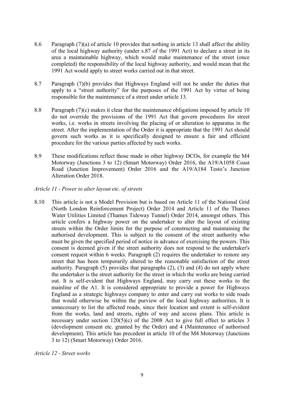- 8.6 Paragraph (7)(a) of article 10 provides that nothing in article 13 shall affect the ability of the local highway authority (under s.87 of the 1991 Act) to declare a street in its area a maintainable highway, which would make maintenance of the street (once completed) the responsibility of the local highway authority, and would mean that the 1991 Act would apply to street works carried out in that street.
- 8.7 Paragraph (7)(b) provides that Highways England will not be under the duties that apply to a "street authority" for the purposes of the 1991 Act by virtue of being responsible for the maintenance of a street under article 13.
- 8.8 Paragraph (7)(c) makes it clear that the maintenance obligations imposed by article 10 do not override the provisions of the 1991 Act that govern procedures for street works, i.e. works in streets involving the placing of or alteration to apparatus in the street. After the implementation of the Order it is appropriate that the 1991 Act should govern such works as it is specifically designed to ensure a fair and efficient procedure for the various parties affected by such works.
- 8.9 These modifications reflect those made in other highway DCOs, for example the M4 Motorway (Junctions 3 to 12) (Smart Motorway) Order 2016, the A19/A1058 Coast Road (Junction Improvement) Order 2016 and the A19/A184 Testo's Junction Alteration Order 2018.
- *Article 11 - Power to alter layout etc. of streets*
- 8.10 This article is not a Model Provision but is based on Article 11 of the National Grid (North London Reinforcement Project) Order 2014 and Article 11 of the Thames Water Utilities Limited (Thames Tideway Tunnel) Order 2014, amongst others. This article confers a highway power on the undertaker to alter the layout of existing streets within the Order limits for the purpose of constructing and maintaining the authorised development. This is subject to the consent of the street authority who must be given the specified period of notice in advance of exercising the powers. This consent is deemed given if the street authority does not respond to the undertaker's consent request within 6 weeks. Paragraph (2) requires the undertaker to restore any street that has been temporarily altered to the reasonable satisfaction of the street authority. Paragraph (5) provides that paragraphs (2), (3) and (4) do not apply where the undertaker is the street authority for the street in which the works are being carried out. It is self-evident that Highways England, may carry out these works to the mainline of the A1. It is considered appropriate to provide a power for Highways England as a strategic highways company to enter and carry out works to side roads that would otherwise be within the purview of the local highway authorities. It is unnecessary to list the affected roads, since their location and extent is self-evident from the works, land and streets, rights of way and access plans. This article is necessary under section  $120(5)(c)$  of the 2008 Act to give full effect to articles 3 (development consent etc. granted by the Order) and 4 (Maintenance of authorised development). This article has precedent in article 10 of the M4 Motorway (Junctions 3 to 12) (Smart Motorway) Order 2016.

*Article 12 - Street works*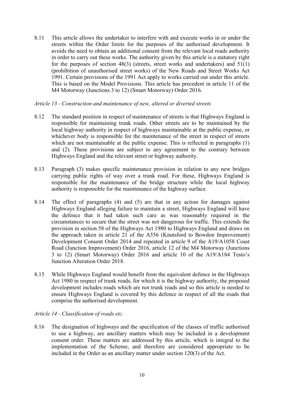8.11 This article allows the undertaker to interfere with and execute works in or under the streets within the Order limits for the purposes of the authorised development. It avoids the need to obtain an additional consent from the relevant local roads authority in order to carry out these works. The authority given by this article is a statutory right for the purposes of section  $48(3)$  (streets, street works and undertakers) and  $51(1)$ (prohibition of unauthorised street works) of the New Roads and Street Works Act 1991. Certain provisions of the 1991 Act apply to works carried out under this article. This is based on the Model Provisions. This article has precedent in article 11 of the M4 Motorway (Junctions 3 to 12) (Smart Motorway) Order 2016.

#### *Article 13 - Construction and maintenance of new, altered or diverted streets*

- 8.12 The standard position in respect of maintenance of streets is that Highways England is responsible for maintaining trunk roads. Other streets are to be maintained by the local highway authority in respect of highways maintainable at the public expense, or whichever body is responsible for the maintenance of the street in respect of streets which are not maintainable at the public expense. This is reflected in paragraphs (1) and (2). These provisions are subject to any agreement to the contrary between Highways England and the relevant street or highway authority.
- 8.13 Paragraph (3) makes specific maintenance provision in relation to any new bridges carrying public rights of way over a trunk road. For these, Highways England is responsible for the maintenance of the bridge structure while the local highway authority is responsible for the maintenance of the highway surface.
- 8.14 The effect of paragraphs (4) and (5) are that in any action for damages against Highways England alleging failure to maintain a street, Highways England will have the defence that it had taken such care as was reasonably required in the circumstances to secure that the street was not dangerous for traffic. This extends the provision in section 58 of the Highways Act 1980 to Highways England and draws on the approach taken in article 21 of the A556 (Knutsford to Bowdon Improvement) Development Consent Order 2014 and repeated in article 9 of the A19/A1058 Coast Road (Junction Improvement) Order 2016, article 12 of the M4 Motorway (Junctions 3 to 12) (Smart Motorway) Order 2016 and article 10 of the A19/A184 Testo's Junction Alteration Order 2018.
- 8.15 While Highways England would benefit from the equivalent defence in the Highways Act 1980 in respect of trunk roads, for which it is the highway authority, the proposed development includes roads which are not trunk roads and so this article is needed to ensure Highways England is covered by this defence in respect of all the roads that comprise the authorised development.

# *Article 14 - Classification of roads etc.*

8.16 The designation of highways and the specification of the classes of traffic authorised to use a highway, are ancillary matters which may be included in a development consent order. These matters are addressed by this article, which is integral to the implementation of the Scheme, and therefore are considered appropriate to be included in the Order as an ancillary matter under section 120(3) of the Act.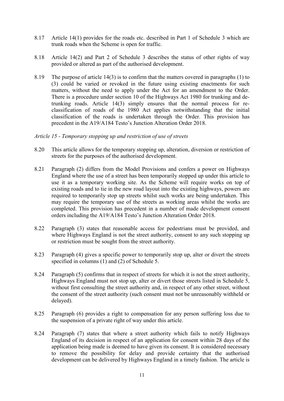- 8.17 Article 14(1) provides for the roads etc. described in Part 1 of Schedule 3 which are trunk roads when the Scheme is open for traffic.
- 8.18 Article 14(2) and Part 2 of Schedule 3 describes the status of other rights of way provided or altered as part of the authorised development.
- 8.19 The purpose of article 14(3) is to confirm that the matters covered in paragraphs (1) to (3) could be varied or revoked in the future using existing enactments for such matters, without the need to apply under the Act for an amendment to the Order. There is a procedure under section 10 of the Highways Act 1980 for trunking and detrunking roads. Article 14(3) simply ensures that the normal process for reclassification of roads of the 1980 Act applies notwithstanding that the initial classification of the roads is undertaken through the Order. This provision has precedent in the A19/A184 Testo's Junction Alteration Order 2018.

# *Article 15 - Temporary stopping up and restriction of use of streets*

- 8.20 This article allows for the temporary stopping up, alteration, diversion or restriction of streets for the purposes of the authorised development.
- 8.21 Paragraph (2) differs from the Model Provisions and confers a power on Highways England where the use of a street has been temporarily stopped up under this article to use it as a temporary working site. As the Scheme will require works on top of existing roads and to tie in the new road layout into the existing highways, powers are required to temporarily stop up streets whilst such works are being undertaken. This may require the temporary use of the streets as working areas whilst the works are completed. This provision has precedent in a number of made development consent orders including the A19/A184 Testo's Junction Alteration Order 2018.
- 8.22 Paragraph (3) states that reasonable access for pedestrians must be provided, and where Highways England is not the street authority, consent to any such stopping up or restriction must be sought from the street authority.
- 8.23 Paragraph (4) gives a specific power to temporarily stop up, alter or divert the streets specified in columns (1) and (2) of Schedule 5.
- 8.24 Paragraph (5) confirms that in respect of streets for which it is not the street authority, Highways England must not stop up, alter or divert those streets listed in Schedule 5, without first consulting the street authority and, in respect of any other street, without the consent of the street authority (such consent must not be unreasonably withheld or delayed).
- 8.25 Paragraph (6) provides a right to compensation for any person suffering loss due to the suspension of a private right of way under this article.
- 8.24 Paragraph (7) states that where a street authority which fails to notify Highways England of its decision in respect of an application for consent within 28 days of the application being made is deemed to have given its consent. It is considered necessary to remove the possibility for delay and provide certainty that the authorised development can be delivered by Highways England in a timely fashion. The article is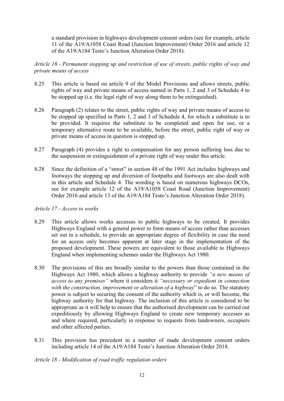a standard provision in highways development consent orders (see for example, article 11 of the A19/A1058 Coast Road (Junction Improvement) Order 2016 and article 12 of the A19/A184 Testo's Junction Alteration Order 2018).

*Article 16 - Permanent stopping up and restriction of use of streets, public rights of way and private means of access*

- 8.25 This article is based on article 9 of the Model Provisions and allows streets, public rights of way and private means of access named in Parts 1, 2 and 3 of Schedule 4 to be stopped up (i.e. the legal right of way along them to be extinguished).
- 8.26 Paragraph (2) relates to the street, public rights of way and private means of access to be stopped up specified in Parts 1, 2 and 3 of Schedule 4, for which a substitute is to be provided. It requires the substitute to be completed and open for use, or a temporary alternative route to be available, before the street, public right of way or private means of access in question is stopped up.
- 8.27 Paragraph (4) provides a right to compensation for any person suffering loss due to the suspension or extinguishment of a private right of way under this article.
- 8.28 Since the definition of a "street" in section 48 of the 1991 Act includes highways and footways the stopping up and diversion of footpaths and footways are also dealt with in this article and Schedule 4. The wording is based on numerous highways DCOs, see for example article 12 of the A19/A1058 Coast Road (Junction Improvement) Order 2016 and article 13 of the A19/A184 Testo's Junction Alteration Order 2018).

#### *Article 17 - Access to works*

- 8.29 This article allows works accesses to public highways to be created. It provides Highways England with a general power to form means of access rather than accesses set out in a schedule, to provide an appropriate degree of flexibility in case the need for an access only becomes apparent at later stage in the implementation of the proposed development. These powers are equivalent to those available to Highways England when implementing schemes under the Highways Act 1980.
- 8.30 The provisions of this are broadly similar to the powers than those contained in the Highways Act 1980, which allows a highway authority to provide *"a new means of access to any premises"* where it considers it *"necessary or expedient in connection with the construction, improvement or alteration of a highway*" to do so. The statutory power is subject to securing the consent of the authority which is, or will become, the highway authority for that highway. The inclusion of this article is considered to be appropriate as it will help to ensure that the authorised development can be carried out expeditiously by allowing Highways England to create new temporary accesses as and where required, particularly in response to requests from landowners, occupiers and other affected parties.
- 8.31 This provision has precedent in a number of made development consent orders including article 14 of the A19/A184 Testo's Junction Alteration Order 2018.

# *Article 18 - Modification of road traffic regulation orders*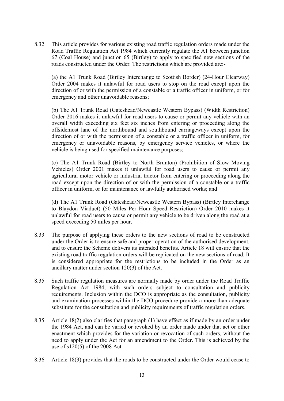8.32 This article provides for various existing road traffic regulation orders made under the Road Traffic Regulation Act 1984 which currently regulate the A1 between junction 67 (Coal House) and junction 65 (Birtley) to apply to specified new sections of the roads constructed under the Order. The restrictions which are provided are:-

(a) the A1 Trunk Road (Birtley Interchange to Scottish Border) (24-Hour Clearway) Order 2004 makes it unlawful for road users to stop on the road except upon the direction of or with the permission of a constable or a traffic officer in uniform, or for emergency and other unavoidable reasons;

(b) The A1 Trunk Road (Gateshead/Newcastle Western Bypass) (Width Restriction) Order 2016 makes it unlawful for road users to cause or permit any vehicle with an overall width exceeding six feet six inches from entering or proceeding along the offsidemost lane of the northbound and southbound carriageways except upon the direction of or with the permission of a constable or a traffic officer in uniform, for emergency or unavoidable reasons, by emergency service vehicles, or where the vehicle is being used for specified maintenance purposes;

(c) The A1 Trunk Road (Birtley to North Brunton) (Prohibition of Slow Moving Vehicles) Order 2001 makes it unlawful for road users to cause or permit any agricultural motor vehicle or industrial tractor from entering or proceeding along the road except upon the direction of or with the permission of a constable or a traffic officer in uniform, or for maintenance or lawfully authorised works; and

(d) The A1 Trunk Road (Gateshead/Newcastle Western Bypass) (Birtley Interchange to Blaydon Viaduct) (50 Miles Per Hour Speed Restriction) Order 2010 makes it unlawful for road users to cause or permit any vehicle to be driven along the road at a speed exceeding 50 miles per hour.

- 8.33 The purpose of applying these orders to the new sections of road to be constructed under the Order is to ensure safe and proper operation of the authorised development, and to ensure the Scheme delivers its intended benefits. Article 18 will ensure that the existing road traffic regulation orders will be replicated on the new sections of road. It is considered appropriate for the restrictions to be included in the Order as an ancillary matter under section 120(3) of the Act.
- 8.35 Such traffic regulation measures are normally made by order under the Road Traffic Regulation Act 1984, with such orders subject to consultation and publicity requirements. Inclusion within the DCO is appropriate as the consultation, publicity and examination processes within the DCO procedure provide a more than adequate substitute for the consultation and publicity requirements of traffic regulation orders.
- 8.35 Article 18(2) also clarifies that paragraph (1) have effect as if made by an order under the 1984 Act, and can be varied or revoked by an order made under that act or other enactment which provides for the variation or revocation of such orders, without the need to apply under the Act for an amendment to the Order. This is achieved by the use of s120(5) of the 2008 Act.
- 8.36 Article 18(3) provides that the roads to be constructed under the Order would cease to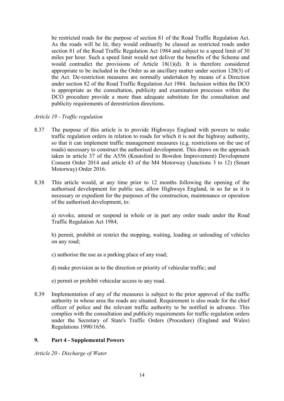be restricted roads for the purpose of section 81 of the Road Traffic Regulation Act. As the roads will be lit, they would ordinarily be classed as restricted roads under section 81 of the Road Traffic Regulation Act 1984 and subject to a speed limit of 30 miles per hour. Such a speed limit would not deliver the benefits of the Scheme and would contradict the provisions of Article 18(1)(d). It is therefore considered appropriate to be included in the Order as an ancillary matter under section 120(3) of the Act. De-restriction measures are normally undertaken by means of a Direction under section 82 of the Road Traffic Regulation Act 1984. Inclusion within the DCO is appropriate as the consultation, publicity and examination processes within the DCO procedure provide a more than adequate substitute for the consultation and publicity requirements of derestriction directions.

# *Article 19 - Traffic regulation*

- 8.37 The purpose of this article is to provide Highways England with powers to make traffic regulation orders in relation to roads for which it is not the highway authority, so that it can implement traffic management measures (e.g. restrictions on the use of roads) necessary to construct the authorised development. This draws on the approach taken in article 37 of the A556 (Knutsford to Bowdon Improvement) Development Consent Order 2014 and article 43 of the M4 Motorway (Junctions 3 to 12) (Smart Motorway) Order 2016.
- 8.38 This article would, at any time prior to 12 months following the opening of the authorised development for public use, allow Highways England, in so far as it is necessary or expedient for the purposes of the construction, maintenance or operation of the authorised development, to:

a) revoke, amend or suspend in whole or in part any order made under the Road Traffic Regulation Act 1984;

b) permit, prohibit or restrict the stopping, waiting, loading or unloading of vehicles on any road;

c) authorise the use as a parking place of any road;

d) make provision as to the direction or priority of vehicular traffic; and

- e) permit or prohibit vehicular access to any road.
- 8.39 Implementation of any of the measures is subject to the prior approval of the traffic authority in whose area the roads are situated. Requirement is also made for the chief officer of police and the relevant traffic authority to be notified in advance. This complies with the consultation and publicity requirements for traffic regulation orders under the Secretary of State's Traffic Orders (Procedure) (England and Wales) Regulations 1990/1656.

# **9. Part 4 - Supplemental Powers**

*Article 20 - Discharge of Water*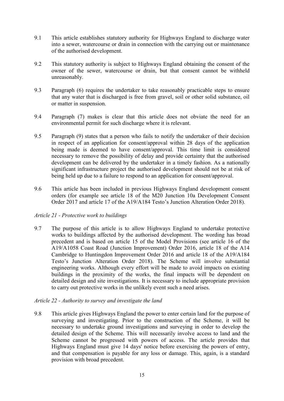- 9.1 This article establishes statutory authority for Highways England to discharge water into a sewer, watercourse or drain in connection with the carrying out or maintenance of the authorised development.
- 9.2 This statutory authority is subject to Highways England obtaining the consent of the owner of the sewer, watercourse or drain, but that consent cannot be withheld unreasonably.
- 9.3 Paragraph (6) requires the undertaker to take reasonably practicable steps to ensure that any water that is discharged is free from gravel, soil or other solid substance, oil or matter in suspension.
- 9.4 Paragraph (7) makes is clear that this article does not obviate the need for an environmental permit for such discharge where it is relevant.
- 9.5 Paragraph (9) states that a person who fails to notify the undertaker of their decision in respect of an application for consent/approval within 28 days of the application being made is deemed to have consent/approval. This time limit is considered necessary to remove the possibility of delay and provide certainty that the authorised development can be delivered by the undertaker in a timely fashion. As a nationally significant infrastructure project the authorised development should not be at risk of being held up due to a failure to respond to an application for consent/approval.
- 9.6 This article has been included in previous Highways England development consent orders (for example see article 18 of the M20 Junction 10a Development Consent Order 2017 and article 17 of the A19/A184 Testo's Junction Alteration Order 2018).

# *Article 21 - Protective work to buildings*

9.7 The purpose of this article is to allow Highways England to undertake protective works to buildings affected by the authorised development. The wording has broad precedent and is based on article 15 of the Model Provisions (see article 16 of the A19/A1058 Coast Road (Junction Improvement) Order 2016, article 18 of the A14 Cambridge to Huntingdon Improvement Order 2016 and article 18 of the A19/A184 Testo's Junction Alteration Order 2018). The Scheme will involve substantial engineering works. Although every effort will be made to avoid impacts on existing buildings in the proximity of the works, the final impacts will be dependent on detailed design and site investigations. It is necessary to include appropriate provision to carry out protective works in the unlikely event such a need arises.

#### *Article 22 - Authority to survey and investigate the land*

9.8 This article gives Highways England the power to enter certain land for the purpose of surveying and investigating. Prior to the construction of the Scheme, it will be necessary to undertake ground investigations and surveying in order to develop the detailed design of the Scheme. This will necessarily involve access to land and the Scheme cannot be progressed with powers of access. The article provides that Highways England must give 14 days' notice before exercising the powers of entry, and that compensation is payable for any loss or damage. This, again, is a standard provision with broad precedent.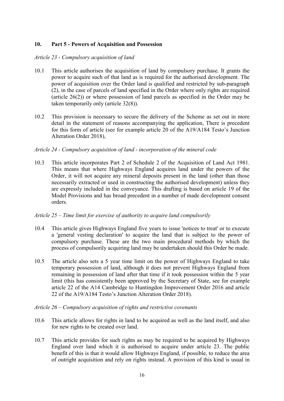# **10. Part 5 - Powers of Acquisition and Possession**

#### *Article 23 - Compulsory acquisition of land*

- 10.1 This article authorises the acquisition of land by compulsory purchase. It grants the power to acquire such of that land as is required for the authorised development. The power of acquisition over the Order land is qualified and restricted by sub-paragraph (2), in the case of parcels of land specified in the Order where only rights are required (article 26(2)) or where possession of land parcels as specified in the Order may be taken temporarily only (article 32(8)).
- 10.2 This provision is necessary to secure the delivery of the Scheme as set out in more detail in the statement of reasons accompanying the application, There is precedent for this form of article (see for example article 20 of the A19/A184 Testo's Junction Alteration Order 2018),

# *Article 24 - Compulsory acquisition of land - incorporation of the mineral code*

10.3 This article incorporates Part 2 of Schedule 2 of the Acquisition of Land Act 1981. This means that where Highways England acquires land under the powers of the Order, it will not acquire any mineral deposits present in the land (other than those necessarily extracted or used in constructing the authorised development) unless they are expressly included in the conveyance. This drafting is based on article 19 of the Model Provisions and has broad precedent in a number of made development consent orders.

# *Article 25 – Time limit for exercise of authority to acquire land compulsorily*

- 10.4 This article gives Highways England five years to issue 'notices to treat' or to execute a 'general vesting declaration' to acquire the land that is subject to the power of compulsory purchase. These are the two main procedural methods by which the process of compulsorily acquiring land may be undertaken should this Order be made.
- 10.5 The article also sets a 5 year time limit on the power of Highways England to take temporary possession of land, although it does not prevent Highways England from remaining in possession of land after that time if it took possession within the 5 year limit (this has consistently been approved by the Secretary of State, see for example article 22 of the A14 Cambridge to Huntingdon Improvement Order 2016 and article 22 of the A19/A184 Testo's Junction Alteration Order 2018).

#### *Article 26 – Compulsory acquisition of rights and restrictive covenants*

- 10.6 This article allows for rights in land to be acquired as well as the land itself, and also for new rights to be created over land.
- 10.7 This article provides for such rights as may be required to be acquired by Highways England over land which it is authorised to acquire under article 23. The public benefit of this is that it would allow Highways England, if possible, to reduce the area of outright acquisition and rely on rights instead. A provision of this kind is usual in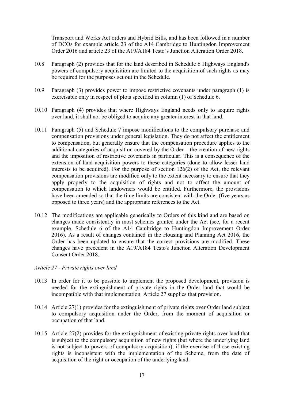Transport and Works Act orders and Hybrid Bills, and has been followed in a number of DCOs for example article 23 of the A14 Cambridge to Huntingdon Improvement Order 2016 and article 23 of the A19/A184 Testo's Junction Alteration Order 2018.

- 10.8 Paragraph (2) provides that for the land described in Schedule 6 Highways England's powers of compulsory acquisition are limited to the acquisition of such rights as may be required for the purposes set out in the Schedule.
- 10.9 Paragraph (3) provides power to impose restrictive covenants under paragraph (1) is exercisable only in respect of plots specified in column (1) of Schedule 6.
- 10.10 Paragraph (4) provides that where Highways England needs only to acquire rights over land, it shall not be obliged to acquire any greater interest in that land.
- 10.11 Paragraph (5) and Schedule 7 impose modifications to the compulsory purchase and compensation provisions under general legislation. They do not affect the entitlement to compensation, but generally ensure that the compensation procedure applies to the additional categories of acquisition covered by the Order – the creation of new rights and the imposition of restrictive covenants in particular. This is a consequence of the extension of land acquisition powers to these categories (done to allow lesser land interests to be acquired). For the purpose of section 126(2) of the Act, the relevant compensation provisions are modified only to the extent necessary to ensure that they apply properly to the acquisition of rights and not to affect the amount of compensation to which landowners would be entitled. Furthermore, the provisions have been amended so that the time limits are consistent with the Order (five years as opposed to three years) and the appropriate references to the Act.
- 10.12 The modifications are applicable generically to Orders of this kind and are based on changes made consistently in most schemes granted under the Act (see, for a recent example, Schedule 6 of the A14 Cambridge to Huntingdon Improvement Order 2016). As a result of changes contained in the Housing and Planning Act 2016, the Order has been updated to ensure that the correct provisions are modified. These changes have precedent in the A19/A184 Testo's Junction Alteration Development Consent Order 2018.

#### *Article 27 - Private rights over land*

- 10.13 In order for it to be possible to implement the proposed development, provision is needed for the extinguishment of private rights in the Order land that would be incompatible with that implementation. Article 27 supplies that provision.
- 10.14 Article 27(1) provides for the extinguishment of private rights over Order land subject to compulsory acquisition under the Order, from the moment of acquisition or occupation of that land.
- 10.15 Article 27(2) provides for the extinguishment of existing private rights over land that is subject to the compulsory acquisition of new rights (but where the underlying land is not subject to powers of compulsory acquisition), if the exercise of those existing rights is inconsistent with the implementation of the Scheme, from the date of acquisition of the right or occupation of the underlying land.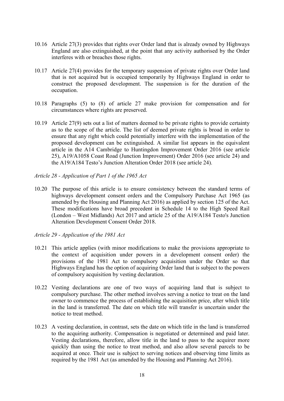- 10.16 Article 27(3) provides that rights over Order land that is already owned by Highways England are also extinguished, at the point that any activity authorised by the Order interferes with or breaches those rights.
- 10.17 Article 27(4) provides for the temporary suspension of private rights over Order land that is not acquired but is occupied temporarily by Highways England in order to construct the proposed development. The suspension is for the duration of the occupation.
- 10.18 Paragraphs (5) to (8) of article 27 make provision for compensation and for circumstances where rights are preserved.
- 10.19 Article 27(9) sets out a list of matters deemed to be private rights to provide certainty as to the scope of the article. The list of deemed private rights is broad in order to ensure that any right which could potentially interfere with the implementation of the proposed development can be extinguished. A similar list appears in the equivalent article in the A14 Cambridge to Huntingdon Improvement Order 2016 (see article 25), A19/A1058 Coast Road (Junction Improvement) Order 2016 (see article 24) and the A19/A184 Testo's Junction Alteration Order 2018 (see article 24).
- *Article 28 - Application of Part 1 of the 1965 Act*
- 10.20 The purpose of this article is to ensure consistency between the standard terms of highways development consent orders and the Compulsory Purchase Act 1965 (as amended by the Housing and Planning Act 2016) as applied by section 125 of the Act. These modifications have broad precedent in Schedule 14 to the High Speed Rail (London – West Midlands) Act 2017 and article 25 of the A19/A184 Testo's Junction Alteration Development Consent Order 2018.
- *Article 29 - Application of the 1981 Act*
- 10.21 This article applies (with minor modifications to make the provisions appropriate to the context of acquisition under powers in a development consent order) the provisions of the 1981 Act to compulsory acquisition under the Order so that Highways England has the option of acquiring Order land that is subject to the powers of compulsory acquisition by vesting declaration.
- 10.22 Vesting declarations are one of two ways of acquiring land that is subject to compulsory purchase. The other method involves serving a notice to treat on the land owner to commence the process of establishing the acquisition price, after which title in the land is transferred. The date on which title will transfer is uncertain under the notice to treat method.
- 10.23 A vesting declaration, in contrast, sets the date on which title in the land is transferred to the acquiring authority. Compensation is negotiated or determined and paid later. Vesting declarations, therefore, allow title in the land to pass to the acquirer more quickly than using the notice to treat method, and also allow several parcels to be acquired at once. Their use is subject to serving notices and observing time limits as required by the 1981 Act (as amended by the Housing and Planning Act 2016).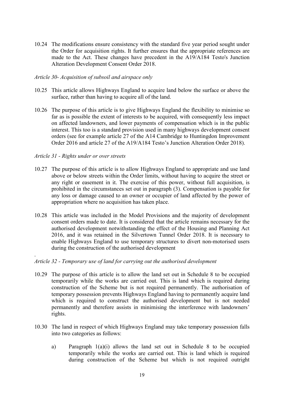10.24 The modifications ensure consistency with the standard five year period sought under the Order for acquisition rights. It further ensures that the appropriate references are made to the Act. These changes have precedent in the A19/A184 Testo's Junction Alteration Development Consent Order 2018.

# *Article 30- Acquisition of subsoil and airspace only*

- 10.25 This article allows Highways England to acquire land below the surface or above the surface, rather than having to acquire all of the land.
- 10.26 The purpose of this article is to give Highways England the flexibility to minimise so far as is possible the extent of interests to be acquired, with consequently less impact on affected landowners, and lower payments of compensation which is in the public interest. This too is a standard provision used in many highways development consent orders (see for example article 27 of the A14 Cambridge to Huntingdon Improvement Order 2016 and article 27 of the A19/A184 Testo's Junction Alteration Order 2018).

# *Article 31 - Rights under or over streets*

.

- 10.27 The purpose of this article is to allow Highways England to appropriate and use land above or below streets within the Order limits, without having to acquire the street or any right or easement in it. The exercise of this power, without full acquisition, is prohibited in the circumstances set out in paragraph (3). Compensation is payable for any loss or damage caused to an owner or occupier of land affected by the power of appropriation where no acquisition has taken place.
- 10.28 This article was included in the Model Provisions and the majority of development consent orders made to date. It is considered that the article remains necessary for the authorised development notwithstanding the effect of the Housing and Planning Act 2016, and it was retained in the Silvertown Tunnel Order 2018. It is necessary to enable Highways England to use temporary structures to divert non-motorised users during the construction of the authorised development

#### *Article 32 - Temporary use of land for carrying out the authorised development*

- 10.29 The purpose of this article is to allow the land set out in Schedule 8 to be occupied temporarily while the works are carried out. This is land which is required during construction of the Scheme but is not required permanently. The authorisation of temporary possession prevents Highways England having to permanently acquire land which is required to construct the authorised development but is not needed permanently and therefore assists in minimising the interference with landowners' rights.
- 10.30 The land in respect of which Highways England may take temporary possession falls into two categories as follows:
	- a) Paragraph 1(a)(i) allows the land set out in Schedule 8 to be occupied temporarily while the works are carried out. This is land which is required during construction of the Scheme but which is not required outright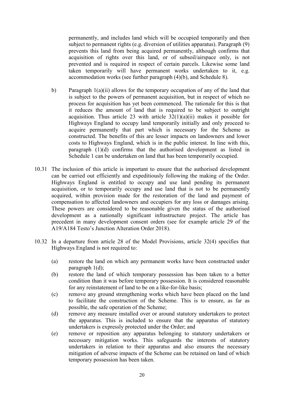permanently, and includes land which will be occupied temporarily and then subject to permanent rights (e.g. diversion of utilities apparatus). Paragraph (9) prevents this land from being acquired permanently, although confirms that acquisition of rights over this land, or of subsoil/airspace only, is not prevented and is required in respect of certain parcels. Likewise some land taken temporarily will have permanent works undertaken to it, e.g. accommodation works (see further paragraph (4)(b), and Schedule 8).

- b) Paragraph 1(a)(ii) allows for the temporary occupation of any of the land that is subject to the powers of permanent acquisition, but in respect of which no process for acquisition has yet been commenced. The rationale for this is that it reduces the amount of land that is required to be subject to outright acquisition. Thus article 23 with article  $32(1)(a)(ii)$  makes it possible for Highways England to occupy land temporarily initially and only proceed to acquire permanently that part which is necessary for the Scheme as constructed. The benefits of this are lesser impacts on landowners and lower costs to Highways England, which is in the public interest. In line with this, paragraph (1)(d) confirms that the authorised development as listed in Schedule 1 can be undertaken on land that has been temporarily occupied.
- 10.31 The inclusion of this article is important to ensure that the authorised development can be carried out efficiently and expeditiously following the making of the Order. Highways England is entitled to occupy and use land pending its permanent acquisition, or to temporarily occupy and use land that is not to be permanently acquired, within provision made for the restoration of the land and payment of compensation to affected landowners and occupiers for any loss or damages arising. These powers are considered to be reasonable given the status of the authorised development as a nationally significant infrastructure project. The article has precedent in many development consent orders (see for example article 29 of the A19/A184 Testo's Junction Alteration Order 2018).
- 10.32 In a departure from article 28 of the Model Provisions, article 32(4) specifies that Highways England is not required to:
	- (a) restore the land on which any permanent works have been constructed under paragraph 1(d);
	- (b) restore the land of which temporary possession has been taken to a better condition than it was before temporary possession. It is considered reasonable for any reinstatement of land to be on a like-for-like basis;
	- (c) remove any ground strengthening works which have been placed on the land to facilitate the construction of the Scheme. This is to ensure, as far as possible, the safe operation of the Scheme;
	- (d) remove any measure installed over or around statutory undertakers to protect the apparatus. This is included to ensure that the apparatus of statutory undertakers is expressly protected under the Order; and
	- (e) remove or reposition any apparatus belonging to statutory undertakers or necessary mitigation works. This safeguards the interests of statutory undertakers in relation to their apparatus and also ensures the necessary mitigation of adverse impacts of the Scheme can be retained on land of which temporary possession has been taken.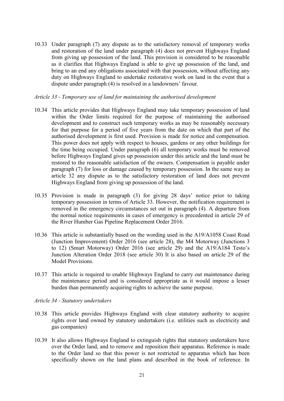10.33 Under paragraph (7) any dispute as to the satisfactory removal of temporary works and restoration of the land under paragraph (4) does not prevent Highways England from giving up possession of the land. This provision is considered to be reasonable as it clarifies that Highways England is able to give up possession of the land, and bring to an end any obligations associated with that possession, without affecting any duty on Highways England to undertake restorative work on land in the event that a dispute under paragraph (4) is resolved in a landowners' favour.

#### *Article 33 - Temporary use of land for maintaining the authorised development*

- 10.34 This article provides that Highways England may take temporary possession of land within the Order limits required for the purpose of maintaining the authorised development and to construct such temporary works as may be reasonably necessary for that purpose for a period of five years from the date on which that part of the authorised development is first used. Provision is made for notice and compensation. This power does not apply with respect to houses, gardens or any other buildings for the time being occupied. Under paragraph (6) all temporary works must be removed before Highways England gives up possession under this article and the land must be restored to the reasonable satisfaction of the owners. Compensation is payable under paragraph (7) for loss or damage caused by temporary possession. In the same way as article 32 any dispute as to the satisfactory restoration of land does not prevent Highways England from giving up possession of the land.
- 10.35 Provision is made in paragraph (3) for giving 28 days' notice prior to taking temporary possession in terms of Article 33. However, the notification requirement is removed in the emergency circumstances set out in paragraph (4). A departure from the normal notice requirements in cases of emergency is precedented in article 29 of the River Humber Gas Pipeline Replacement Order 2016.
- 10.36 This article is substantially based on the wording used in the A19/A1058 Coast Road (Junction Improvement) Order 2016 (see article 28), the M4 Motorway (Junctions 3 to 12) (Smart Motorway) Order 2016 (see article 29) and the A19/A184 Testo's Junction Alteration Order 2018 (see article 30) It is also based on article 29 of the Model Provisions.
- 10.37 This article is required to enable Highways England to carry out maintenance during the maintenance period and is considered appropriate as it would impose a lesser burden than permanently acquiring rights to achieve the same purpose.
- *Article 34 - Statutory undertakers*
- 10.38 This article provides Highways England with clear statutory authority to acquire rights over land owned by statutory undertakers (i.e. utilities such as electricity and gas companies)
- 10.39 It also allows Highways England to extinguish rights that statutory undertakers have over the Order land, and to remove and reposition their apparatus. Reference is made to the Order land so that this power is not restricted to apparatus which has been specifically shown on the land plans and described in the book of reference. In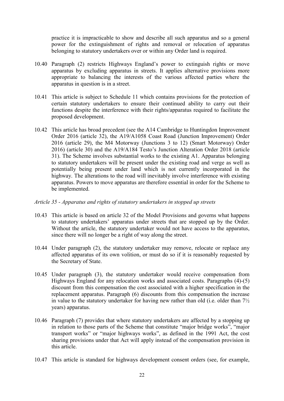practice it is impracticable to show and describe all such apparatus and so a general power for the extinguishment of rights and removal or relocation of apparatus belonging to statutory undertakers over or within any Order land is required.

- 10.40 Paragraph (2) restricts Highways England's power to extinguish rights or move apparatus by excluding apparatus in streets. It applies alternative provisions more appropriate to balancing the interests of the various affected parties where the apparatus in question is in a street.
- 10.41 This article is subject to Schedule 11 which contains provisions for the protection of certain statutory undertakers to ensure their continued ability to carry out their functions despite the interference with their rights/apparatus required to facilitate the proposed development.
- 10.42 This article has broad precedent (see the A14 Cambridge to Huntingdon Improvement Order 2016 (article 32), the A19/A1058 Coast Road (Junction Improvement) Order 2016 (article 29), the M4 Motorway (Junctions 3 to 12) (Smart Motorway) Order 2016) (article 30) and the A19/A184 Testo's Junction Alteration Order 2018 (article 31). The Scheme involves substantial works to the existing A1. Apparatus belonging to statutory undertakers will be present under the existing road and verge as well as potentially being present under land which is not currently incorporated in the highway. The alterations to the road will inevitably involve interference with existing apparatus. Powers to move apparatus are therefore essential in order for the Scheme to be implemented.

#### *Article 35 - Apparatus and rights of statutory undertakers in stopped up streets*

- 10.43 This article is based on article 32 of the Model Provisions and governs what happens to statutory undertakers' apparatus under streets that are stopped up by the Order. Without the article, the statutory undertaker would not have access to the apparatus, since there will no longer be a right of way along the street.
- 10.44 Under paragraph (2), the statutory undertaker may remove, relocate or replace any affected apparatus of its own volition, or must do so if it is reasonably requested by the Secretary of State.
- 10.45 Under paragraph (3), the statutory undertaker would receive compensation from Highways England for any relocation works and associated costs. Paragraphs (4)-(5) discount from this compensation the cost associated with a higher specification in the replacement apparatus. Paragraph (6) discounts from this compensation the increase in value to the statutory undertaker for having new rather than old (i.e. older than  $7\frac{1}{2}$ ) years) apparatus.
- 10.46 Paragraph (7) provides that where statutory undertakers are affected by a stopping up in relation to those parts of the Scheme that constitute "major bridge works", "major transport works" or "major highways works", as defined in the 1991 Act, the cost sharing provisions under that Act will apply instead of the compensation provision in this article.
- 10.47 This article is standard for highways development consent orders (see, for example,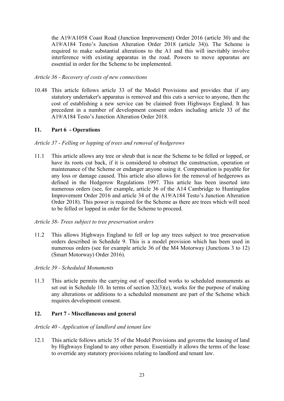the A19/A1058 Coast Road (Junction Improvement) Order 2016 (article 30) and the A19/A184 Testo's Junction Alteration Order 2018 (article 34)). The Scheme is required to make substantial alterations to the A1 and this will inevitably involve interference with existing apparatus in the road. Powers to move apparatus are essential in order for the Scheme to be implemented.

# *Article 36 - Recovery of costs of new connections*

10.48 This article follows article 33 of the Model Provisions and provides that if any statutory undertaker's apparatus is removed and this cuts a service to anyone, then the cost of establishing a new service can be claimed from Highways England. It has precedent in a number of development consent orders including article 33 of the A19/A184 Testo's Junction Alteration Order 2018.

# **11. Part 6 - Operations**

#### *Article 37 - Felling or lopping of trees and removal of hedgerows*

11.1 This article allows any tree or shrub that is near the Scheme to be felled or lopped, or have its roots cut back, if it is considered to obstruct the construction, operation or maintenance of the Scheme or endanger anyone using it. Compensation is payable for any loss or damage caused. This article also allows for the removal of hedgerows as defined in the Hedgerow Regulations 1997. This article has been inserted into numerous orders (see, for example, article 36 of the A14 Cambridge to Huntingdon Improvement Order 2016 and article 34 of the A19/A184 Testo's Junction Alteration Order 2018). This power is required for the Scheme as there are trees which will need to be felled or lopped in order for the Scheme to proceed.

#### *Article 38- Trees subject to tree preservation orders*

11.2 This allows Highways England to fell or lop any trees subject to tree preservation orders described in Schedule 9. This is a model provision which has been used in numerous orders (see for example article 36 of the M4 Motorway (Junctions 3 to 12) (Smart Motorway) Order 2016).

#### *Article 39 - Scheduled Monuments*

11.3 This article permits the carrying out of specified works to scheduled monuments as set out in Schedule 10. In terms of section 32(3)(e), works for the purpose of making any alterations or additions to a scheduled monument are part of the Scheme which requires development consent.

#### **12. Part 7 - Miscellaneous and general**

#### *Article 40 - Application of landlord and tenant law*

12.1 This article follows article 35 of the Model Provisions and governs the leasing of land by Highways England to any other person. Essentially it allows the terms of the lease to override any statutory provisions relating to landlord and tenant law.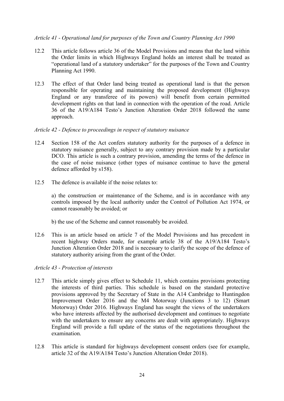# *Article 41 - Operational land for purposes of the Town and Country Planning Act 1990*

- 12.2 This article follows article 36 of the Model Provisions and means that the land within the Order limits in which Highways England holds an interest shall be treated as "operational land of a statutory undertaker" for the purposes of the Town and Country Planning Act 1990.
- 12.3 The effect of that Order land being treated as operational land is that the person responsible for operating and maintaining the proposed development (Highways England or any transferee of its powers) will benefit from certain permitted development rights on that land in connection with the operation of the road. Article 36 of the A19/A184 Testo's Junction Alteration Order 2018 followed the same approach.

#### *Article 42 - Defence to proceedings in respect of statutory nuisance*

- 12.4 Section 158 of the Act confers statutory authority for the purposes of a defence in statutory nuisance generally, subject to any contrary provision made by a particular DCO. This article is such a contrary provision, amending the terms of the defence in the case of noise nuisance (other types of nuisance continue to have the general defence afforded by s158).
- 12.5 The defence is available if the noise relates to:

a) the construction or maintenance of the Scheme, and is in accordance with any controls imposed by the local authority under the Control of Pollution Act 1974, or cannot reasonably be avoided; or

- b) the use of the Scheme and cannot reasonably be avoided.
- 12.6 This is an article based on article 7 of the Model Provisions and has precedent in recent highway Orders made, for example article 38 of the A19/A184 Testo's Junction Alteration Order 2018 and is necessary to clarify the scope of the defence of statutory authority arising from the grant of the Order.

#### *Article 43 - Protection of interests*

- 12.7 This article simply gives effect to Schedule 11, which contains provisions protecting the interests of third parties. This schedule is based on the standard protective provisions approved by the Secretary of State in the A14 Cambridge to Huntingdon Improvement Order 2016 and the M4 Motorway (Junctions 3 to 12) (Smart Motorway) Order 2016. Highways England has sought the views of the undertakers who have interests affected by the authorised development and continues to negotiate with the undertakers to ensure any concerns are dealt with appropriately. Highways England will provide a full update of the status of the negotiations throughout the examination.
- 12.8 This article is standard for highways development consent orders (see for example, article 32 of the A19/A184 Testo's Junction Alteration Order 2018).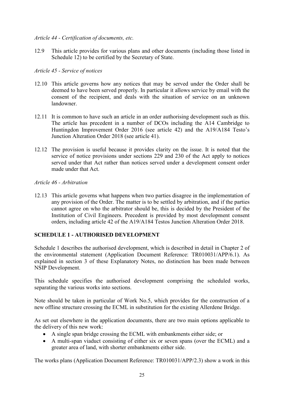# *Article 44 - Certification of documents, etc.*

12.9 This article provides for various plans and other documents (including those listed in Schedule 12) to be certified by the Secretary of State.

# *Article 45 - Service of notices*

- 12.10 This article governs how any notices that may be served under the Order shall be deemed to have been served properly. In particular it allows service by email with the consent of the recipient, and deals with the situation of service on an unknown landowner.
- 12.11 It is common to have such an article in an order authorising development such as this. The article has precedent in a number of DCOs including the A14 Cambridge to Huntingdon Improvement Order 2016 (see article 42) and the A19/A184 Testo's Junction Alteration Order 2018 (see article 41).
- 12.12 The provision is useful because it provides clarity on the issue. It is noted that the service of notice provisions under sections 229 and 230 of the Act apply to notices served under that Act rather than notices served under a development consent order made under that Act.

# *Article 46 - Arbitration*

12.13 This article governs what happens when two parties disagree in the implementation of any provision of the Order. The matter is to be settled by arbitration, and if the parties cannot agree on who the arbitrator should be, this is decided by the President of the Institution of Civil Engineers. Precedent is provided by most development consent orders, including article 42 of the A19/A184 Testos Junction Alteration Order 2018.

# **SCHEDULE 1 - AUTHORISED DEVELOPMENT**

Schedule 1 describes the authorised development, which is described in detail in Chapter 2 of the environmental statement (Application Document Reference: TR010031/APP/6.1). As explained in section 3 of these Explanatory Notes, no distinction has been made between NSIP Development.

This schedule specifies the authorised development comprising the scheduled works, separating the various works into sections.

Note should be taken in particular of Work No.5, which provides for the construction of a new offline structure crossing the ECML in substitution for the existing Allerdene Bridge.

As set out elsewhere in the application documents, there are two main options applicable to the delivery of this new work:

- A single span bridge crossing the ECML with embankments either side; or
- A multi-span viaduct consisting of either six or seven spans (over the ECML) and a greater area of land, with shorter embankments either side.

The works plans (Application Document Reference: TR010031/APP/2.3) show a work in this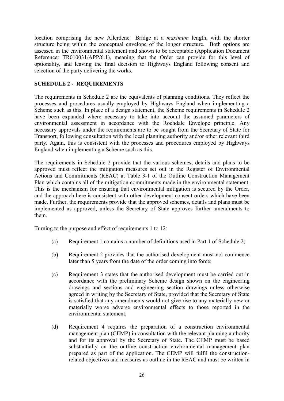location comprising the new Allerdene Bridge at a *maximum* length, with the shorter structure being within the conceptual envelope of the longer structure. Both options are assessed in the environmental statement and shown to be acceptable (Application Document Reference: TR010031/APP/6.1), meaning that the Order can provide for this level of optionality, and leaving the final decision to Highways England following consent and selection of the party delivering the works.

# **SCHEDULE 2 - REQUIREMENTS**

The requirements in Schedule 2 are the equivalents of planning conditions. They reflect the processes and procedures usually employed by Highways England when implementing a Scheme such as this. In place of a design statement, the Scheme requirements in Schedule 2 have been expanded where necessary to take into account the assumed parameters of environmental assessment in accordance with the Rochdale Envelope principle. Any necessary approvals under the requirements are to be sought from the Secretary of State for Transport, following consultation with the local planning authority and/or other relevant third party. Again, this is consistent with the processes and procedures employed by Highways England when implementing a Scheme such as this.

The requirements in Schedule 2 provide that the various schemes, details and plans to be approved must reflect the mitigation measures set out in the Register of Environmental Actions and Commitments (REAC) at Table 3-1 of the Outline Construction Management Plan which contains all of the mitigation commitments made in the environmental statement. This is the mechanism for ensuring that environmental mitigation is secured by the Order, and the approach here is consistent with other development consent orders which have been made. Further, the requirements provide that the approved schemes, details and plans must be implemented as approved, unless the Secretary of State approves further amendments to them.

Turning to the purpose and effect of requirements 1 to 12:

- (a) Requirement 1 contains a number of definitions used in Part 1 of Schedule 2;
- (b) Requirement 2 provides that the authorised development must not commence later than 5 years from the date of the order coming into force;
- (c) Requirement 3 states that the authorised development must be carried out in accordance with the preliminary Scheme design shown on the engineering drawings and sections and engineering section drawings unless otherwise agreed in writing by the Secretary of State, provided that the Secretary of State is satisfied that any amendments would not give rise to any materially new or materially worse adverse environmental effects to those reported in the environmental statement;
- (d) Requirement 4 requires the preparation of a construction environmental management plan (CEMP) in consultation with the relevant planning authority and for its approval by the Secretary of State. The CEMP must be based substantially on the outline construction environmental management plan prepared as part of the application. The CEMP will fulfil the constructionrelated objectives and measures as outline in the REAC and must be written in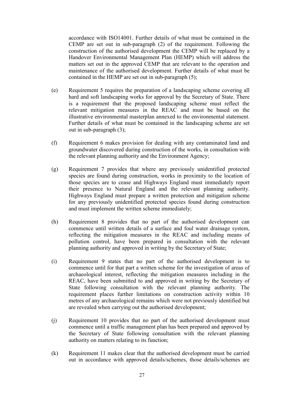accordance with ISO14001. Further details of what must be contained in the CEMP are set out in sub-paragraph (2) of the requirement. Following the construction of the authorised development the CEMP will be replaced by a Handover Environmental Management Plan (HEMP) which will address the matters set out in the approved CEMP that are relevant to the operation and maintenance of the authorised development. Further details of what must be contained in the HEMP are set out in sub-paragraph (5);

- (e) Requirement 5 requires the preparation of a landscaping scheme covering all hard and soft landscaping works for approval by the Secretary of State. There is a requirement that the proposed landscaping scheme must reflect the relevant mitigation measures in the REAC and must be based on the illustrative environmental masterplan annexed to the environmental statement. Further details of what must be contained in the landscaping scheme are set out in sub-paragraph (3);
- (f) Requirement 6 makes provision for dealing with any contaminated land and groundwater discovered during construction of the works, in consultation with the relevant planning authority and the Environment Agency;
- (g) Requirement 7 provides that where any previously unidentified protected species are found during construction, works in proximity to the location of those species are to cease and Highways England must immediately report their presence to Natural England and the relevant planning authority. Highways England must prepare a written protection and mitigation scheme for any previously unidentified protected species found during construction and must implement the written scheme immediately;
- (h) Requirement 8 provides that no part of the authorised development can commence until written details of a surface and foul water drainage system, reflecting the mitigation measures in the REAC and including means of pollution control, have been prepared in consultation with the relevant planning authority and approved in writing by the Secretary of State;
- (i) Requirement 9 states that no part of the authorised development is to commence until for that part a written scheme for the investigation of areas of archaeological interest, reflecting the mitigation measures including in the REAC, have been submitted to and approved in writing by the Secretary of State following consultation with the relevant planning authority. The requirement places further limitations on construction activity within 10 metres of any archaeological remains which were not previously identified but are revealed when carrying out the authorised development;
- (j) Requirement 10 provides that no part of the authorised development must commence until a traffic management plan has been prepared and approved by the Secretary of State following consultation with the relevant planning authority on matters relating to its function;
- (k) Requirement 11 makes clear that the authorised development must be carried out in accordance with approved details/schemes, those details/schemes are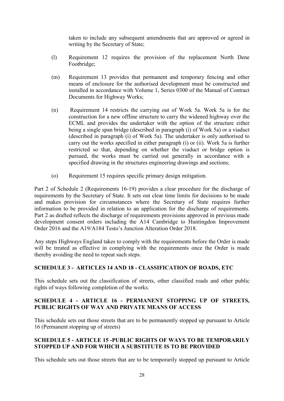taken to include any subsequent amendments that are approved or agreed in writing by the Secretary of State;

- (l) Requirement 12 requires the provision of the replacement North Dene Footbridge;
- (m) Requirement 13 provides that permanent and temporary fencing and other means of enclosure for the authorised development must be constructed and installed in accordance with Volume 1, Series 0300 of the Manual of Contract Documents for Highway Works;
- (n) Requirement 14 restricts the carrying out of Work 5a. Work 5a is for the construction for a new offline structure to carry the widened highway over the ECML and provides the undertaker with the option of the structure either being a single span bridge (described in paragraph (i) of Work 5a) or a viaduct (described in paragraph (i) of Work 5a). The undertaker is only authorised to carry out the works specified in either paragraph (i) or (ii). Work 5a is further restricted so that, depending on whether the viaduct or bridge option is pursued, the works must be carried out generally in accordance with a specified drawing in the structures engineering drawings and sections;
- (o) Requirement 15 requires specific primary design mitigation.

Part 2 of Schedule 2 (Requirements 16-19) provides a clear procedure for the discharge of requirements by the Secretary of State. It sets out clear time limits for decisions to be made and makes provision for circumstances where the Secretary of State requires further information to be provided in relation to an application for the discharge of requirements. Part 2 as drafted reflects the discharge of requirements provisions approved in previous made development consent orders including the A14 Cambridge to Huntingdon Improvement Order 2016 and the A19/A184 Testo's Junction Alteration Order 2018.

Any steps Highways England takes to comply with the requirements before the Order is made will be treated as effective in complying with the requirements once the Order is made thereby avoiding the need to repeat such steps.

# **SCHEDULE 3 - ARTICLES 14 AND 18 - CLASSIFICATION OF ROADS, ETC**

This schedule sets out the classification of streets, other classified roads and other public rights of ways following completion of the works.

# **SCHEDULE 4 - ARTICLE 16 - PERMANENT STOPPING UP OF STREETS, PUBLIC RIGHTS OF WAY AND PRIVATE MEANS OF ACCESS**

This schedule sets out those streets that are to be permanently stopped up pursuant to Article 16 (Permanent stopping up of streets)

# **SCHEDULE 5 - ARTICLE 15 -PUBLIC RIGHTS OF WAYS TO BE TEMPORARILY STOPPED UP AND FOR WHICH A SUBSTITUTE IS TO BE PROVIDED**

This schedule sets out those streets that are to be temporarily stopped up pursuant to Article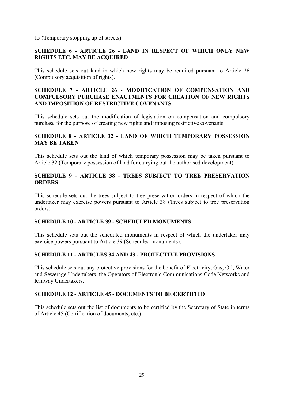# 15 (Temporary stopping up of streets)

# **SCHEDULE 6 - ARTICLE 26 - LAND IN RESPECT OF WHICH ONLY NEW RIGHTS ETC. MAY BE ACQUIRED**

This schedule sets out land in which new rights may be required pursuant to Article 26 (Compulsory acquisition of rights).

# **SCHEDULE 7 - ARTICLE 26 - MODIFICATION OF COMPENSATION AND COMPULSORY PURCHASE ENACTMENTS FOR CREATION OF NEW RIGHTS AND IMPOSITION OF RESTRICTIVE COVENANTS**

This schedule sets out the modification of legislation on compensation and compulsory purchase for the purpose of creating new rights and imposing restrictive covenants.

# **SCHEDULE 8 - ARTICLE 32 - LAND OF WHICH TEMPORARY POSSESSION MAY BE TAKEN**

This schedule sets out the land of which temporary possession may be taken pursuant to Article 32 (Temporary possession of land for carrying out the authorised development).

# **SCHEDULE 9 - ARTICLE 38 - TREES SUBJECT TO TREE PRESERVATION ORDERS**

This schedule sets out the trees subject to tree preservation orders in respect of which the undertaker may exercise powers pursuant to Article 38 (Trees subject to tree preservation orders).

# **SCHEDULE 10 - ARTICLE 39 - SCHEDULED MONUMENTS**

This schedule sets out the scheduled monuments in respect of which the undertaker may exercise powers pursuant to Article 39 (Scheduled monuments).

# **SCHEDULE 11 - ARTICLES 34 AND 43 - PROTECTIVE PROVISIONS**

This schedule sets out any protective provisions for the benefit of Electricity, Gas, Oil, Water and Sewerage Undertakers, the Operators of Electronic Communications Code Networks and Railway Undertakers.

# **SCHEDULE 12 - ARTICLE 45 - DOCUMENTS TO BE CERTIFIED**

This schedule sets out the list of documents to be certified by the Secretary of State in terms of Article 45 (Certification of documents, etc.).